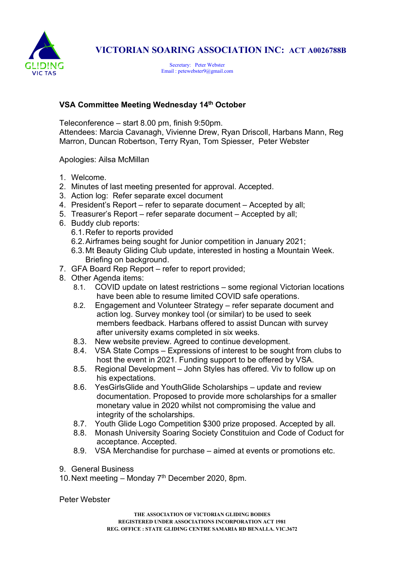

## VICTORIAN SOARING ASSOCIATION INC: ACT A0026788B

Secretary: Peter Webster Email : petewebster9@gmail.com

## VSA Committee Meeting Wednesday 14th October

Teleconference – start 8.00 pm, finish 9:50pm. Attendees: Marcia Cavanagh, Vivienne Drew, Ryan Driscoll, Harbans Mann, Reg Marron, Duncan Robertson, Terry Ryan, Tom Spiesser, Peter Webster

Apologies: Ailsa McMillan

- 1. Welcome.
- 2. Minutes of last meeting presented for approval. Accepted.
- 3. Action log: Refer separate excel document
- 4. President's Report refer to separate document Accepted by all;
- 5. Treasurer's Report refer separate document Accepted by all;
- 6. Buddy club reports:
	- 6.1. Refer to reports provided
	- 6.2. Airframes being sought for Junior competition in January 2021;
	- 6.3. Mt Beauty Gliding Club update, interested in hosting a Mountain Week. Briefing on background.
- 7. GFA Board Rep Report refer to report provided;
- 8. Other Agenda items:
	- 8.1. COVID update on latest restrictions some regional Victorian locations have been able to resume limited COVID safe operations.
	- 8.2. Engagement and Volunteer Strategy refer separate document and action log. Survey monkey tool (or similar) to be used to seek members feedback. Harbans offered to assist Duncan with survey after university exams completed in six weeks.
	- 8.3. New website preview. Agreed to continue development.
	- 8.4. VSA State Comps Expressions of interest to be sought from clubs to host the event in 2021. Funding support to be offered by VSA.
	- 8.5. Regional Development John Styles has offered. Viv to follow up on his expectations.
	- 8.6. YesGirlsGlide and YouthGlide Scholarships update and review documentation. Proposed to provide more scholarships for a smaller monetary value in 2020 whilst not compromising the value and integrity of the scholarships.
	- 8.7. Youth Glide Logo Competition \$300 prize proposed. Accepted by all.
	- 8.8. Monash University Soaring Society Constituion and Code of Coduct for acceptance. Accepted.
	- 8.9. VSA Merchandise for purchase aimed at events or promotions etc.
- 9. General Business
- 10. Next meeting Monday  $7<sup>th</sup>$  December 2020, 8pm.

Peter Webster